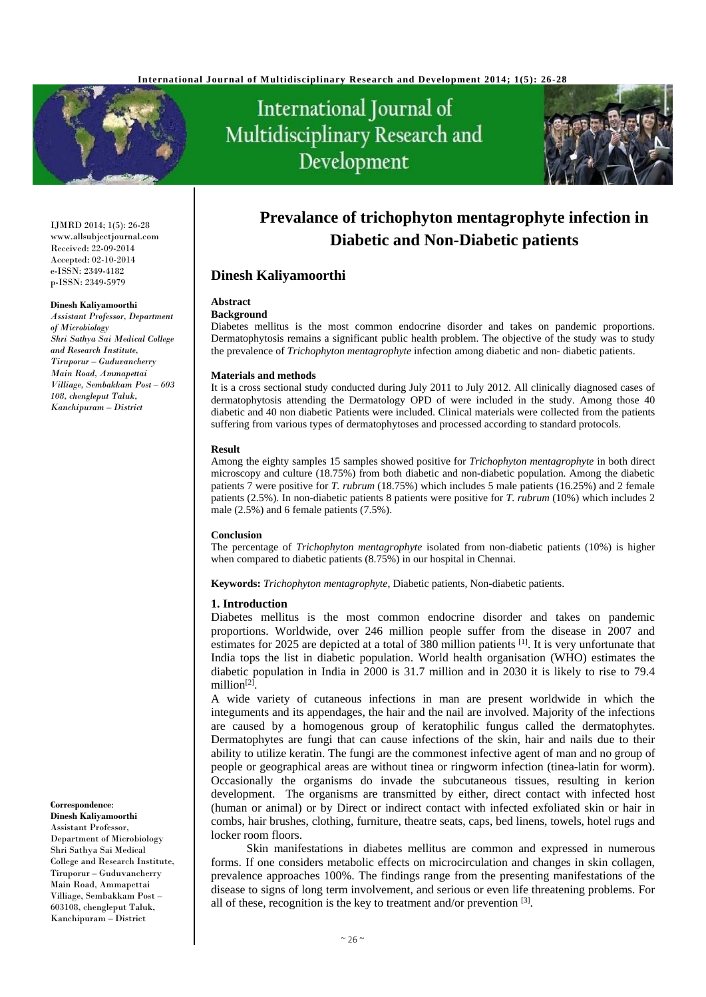

# International Journal of Multidisciplinary Research and Development



IJMRD 2014; 1(5): 26-28 www.allsubjectjournal.com Received: 22-09-2014 Accepted: 02-10-2014 e-ISSN: 2349-4182 p-ISSN: 2349-5979

#### **Dinesh Kaliyamoorthi**

*Assistant Professor, Department of Microbiology Shri Sathya Sai Medical College and Research Institute, Tiruporur – Guduvancherry Main Road, Ammapettai Villiage, Sembakkam Post – 603 108, chengleput Taluk, Kanchipuram – District* 

**Correspondence**:

**Dinesh Kaliyamoorthi** Assistant Professor, Department of Microbiology Shri Sathya Sai Medical College and Research Institute, Tiruporur – Guduvancherry Main Road, Ammapettai Villiage, Sembakkam Post – 603108, chengleput Taluk, Kanchipuram – District

## **Prevalance of trichophyton mentagrophyte infection in Diabetic and Non-Diabetic patients**

## **Dinesh Kaliyamoorthi**

## **Abstract**

## **Background**

Diabetes mellitus is the most common endocrine disorder and takes on pandemic proportions. Dermatophytosis remains a significant public health problem. The objective of the study was to study the prevalence of *Trichophyton mentagrophyte* infection among diabetic and non- diabetic patients.

#### **Materials and methods**

It is a cross sectional study conducted during July 2011 to July 2012. All clinically diagnosed cases of dermatophytosis attending the Dermatology OPD of were included in the study. Among those 40 diabetic and 40 non diabetic Patients were included. Clinical materials were collected from the patients suffering from various types of dermatophytoses and processed according to standard protocols.

#### **Result**

Among the eighty samples 15 samples showed positive for *Trichophyton mentagrophyte* in both direct microscopy and culture (18.75%) from both diabetic and non-diabetic population. Among the diabetic patients 7 were positive for *T. rubrum* (18.75%) which includes 5 male patients (16.25%) and 2 female patients (2.5%). In non-diabetic patients 8 patients were positive for *T. rubrum* (10%) which includes 2 male (2.5%) and 6 female patients (7.5%).

#### **Conclusion**

The percentage of *Trichophyton mentagrophyte* isolated from non-diabetic patients (10%) is higher when compared to diabetic patients (8.75%) in our hospital in Chennai.

**Keywords:** *Trichophyton mentagrophyte*, Diabetic patients, Non-diabetic patients.

#### **1. Introduction**

Diabetes mellitus is the most common endocrine disorder and takes on pandemic proportions. Worldwide, over 246 million people suffer from the disease in 2007 and estimates for 2025 are depicted at a total of 380 million patients [1]. It is very unfortunate that India tops the list in diabetic population. World health organisation (WHO) estimates the diabetic population in India in 2000 is 31.7 million and in 2030 it is likely to rise to 79.4 million $^{[2]}$ .

A wide variety of cutaneous infections in man are present worldwide in which the integuments and its appendages, the hair and the nail are involved. Majority of the infections are caused by a homogenous group of keratophilic fungus called the dermatophytes. Dermatophytes are fungi that can cause infections of the skin, hair and nails due to their ability to utilize keratin. The fungi are the commonest infective agent of man and no group of people or geographical areas are without tinea or ringworm infection (tinea-latin for worm). Occasionally the organisms do invade the subcutaneous tissues, resulting in kerion development. The organisms are transmitted by either, direct contact with infected host (human or animal) or by Direct or indirect contact with infected exfoliated skin or hair in combs, hair brushes, clothing, furniture, theatre seats, caps, bed linens, towels, hotel rugs and locker room floors.

 Skin manifestations in diabetes mellitus are common and expressed in numerous forms. If one considers metabolic effects on microcirculation and changes in skin collagen, prevalence approaches 100%. The findings range from the presenting manifestations of the disease to signs of long term involvement, and serious or even life threatening problems. For all of these, recognition is the key to treatment and/or prevention [3].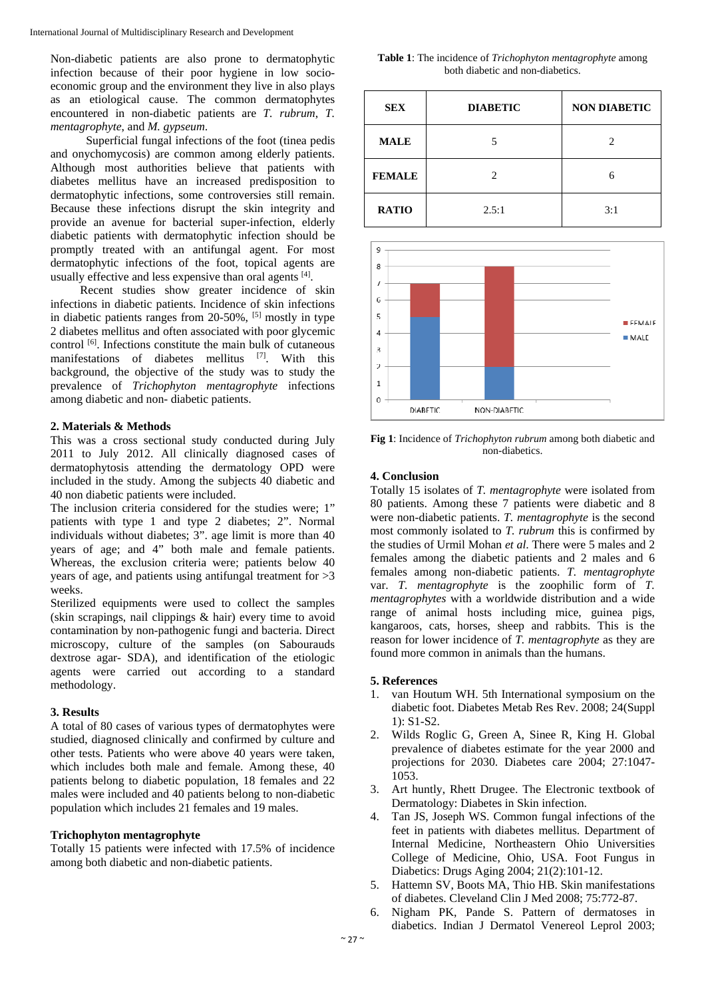Non-diabetic patients are also prone to dermatophytic infection because of their poor hygiene in low socioeconomic group and the environment they live in also plays as an etiological cause. The common dermatophytes encountered in non-diabetic patients are *T. rubrum*, *T. mentagrophyte*, and *M. gypseum*.

 Superficial fungal infections of the foot (tinea pedis and onychomycosis) are common among elderly patients. Although most authorities believe that patients with diabetes mellitus have an increased predisposition to dermatophytic infections, some controversies still remain. Because these infections disrupt the skin integrity and provide an avenue for bacterial super-infection, elderly diabetic patients with dermatophytic infection should be promptly treated with an antifungal agent. For most dermatophytic infections of the foot, topical agents are usually effective and less expensive than oral agents [4].

 Recent studies show greater incidence of skin infections in diabetic patients. Incidence of skin infections in diabetic patients ranges from  $20-50\%$ , <sup>[5]</sup> mostly in type 2 diabetes mellitus and often associated with poor glycemic control  $^{[6]}$ . Infections constitute the main bulk of cutaneous manifestations of diabetes mellitus [7]. With this background, the objective of the study was to study the prevalence of *Trichophyton mentagrophyte* infections among diabetic and non- diabetic patients.

## **2. Materials & Methods**

This was a cross sectional study conducted during July 2011 to July 2012. All clinically diagnosed cases of dermatophytosis attending the dermatology OPD were included in the study. Among the subjects 40 diabetic and 40 non diabetic patients were included.

The inclusion criteria considered for the studies were; 1" patients with type 1 and type 2 diabetes; 2". Normal individuals without diabetes; 3". age limit is more than 40 years of age; and 4" both male and female patients. Whereas, the exclusion criteria were; patients below 40 years of age, and patients using antifungal treatment for >3 weeks.

Sterilized equipments were used to collect the samples (skin scrapings, nail clippings & hair) every time to avoid contamination by non-pathogenic fungi and bacteria. Direct microscopy, culture of the samples (on Sabourauds dextrose agar- SDA), and identification of the etiologic agents were carried out according to a standard methodology.

## **3. Results**

A total of 80 cases of various types of dermatophytes were studied, diagnosed clinically and confirmed by culture and other tests. Patients who were above 40 years were taken, which includes both male and female. Among these, 40 patients belong to diabetic population, 18 females and 22 males were included and 40 patients belong to non-diabetic population which includes 21 females and 19 males.

## **Trichophyton mentagrophyte**

Totally 15 patients were infected with 17.5% of incidence among both diabetic and non-diabetic patients.

**Table 1**: The incidence of *Trichophyton mentagrophyte* among both diabetic and non-diabetics.

| <b>SEX</b>    | <b>DIABETIC</b> | <b>NON DIABETIC</b> |
|---------------|-----------------|---------------------|
| <b>MALE</b>   | 5               | 2                   |
| <b>FEMALE</b> | 2               | 6                   |
| <b>RATIO</b>  | 2.5:1           | 3:1                 |



**Fig 1**: Incidence of *Trichophyton rubrum* among both diabetic and non-diabetics.

### **4. Conclusion**

Totally 15 isolates of *T. mentagrophyte* were isolated from 80 patients. Among these 7 patients were diabetic and 8 were non-diabetic patients. *T. mentagrophyte* is the second most commonly isolated to *T. rubrum* this is confirmed by the studies of Urmil Mohan *et al*. There were 5 males and 2 females among the diabetic patients and 2 males and 6 females among non-diabetic patients. *T. mentagrophyte* var. *T. mentagrophyte* is the zoophilic form of *T. mentagrophytes* with a worldwide distribution and a wide range of animal hosts including mice, guinea pigs, kangaroos, cats, horses, sheep and rabbits. This is the reason for lower incidence of *T. mentagrophyte* as they are found more common in animals than the humans.

## **5. References**

- 1. van Houtum WH. 5th International symposium on the diabetic foot. Diabetes Metab Res Rev. 2008; 24(Suppl 1): S1-S2.
- 2. Wilds Roglic G, Green A, Sinee R, King H. Global prevalence of diabetes estimate for the year 2000 and projections for 2030. Diabetes care 2004; 27:1047- 1053.
- 3. Art huntly, Rhett Drugee. The Electronic textbook of Dermatology: Diabetes in Skin infection.
- 4. Tan JS, Joseph WS. Common fungal infections of the feet in patients with diabetes mellitus. Department of Internal Medicine, Northeastern Ohio Universities College of Medicine, Ohio, USA. Foot Fungus in Diabetics: Drugs Aging 2004; 21(2):101-12.
- 5. Hattemn SV, Boots MA, Thio HB. Skin manifestations of diabetes. Cleveland Clin J Med 2008; 75:772-87.
- 6. Nigham PK, Pande S. Pattern of dermatoses in diabetics. Indian J Dermatol Venereol Leprol 2003;